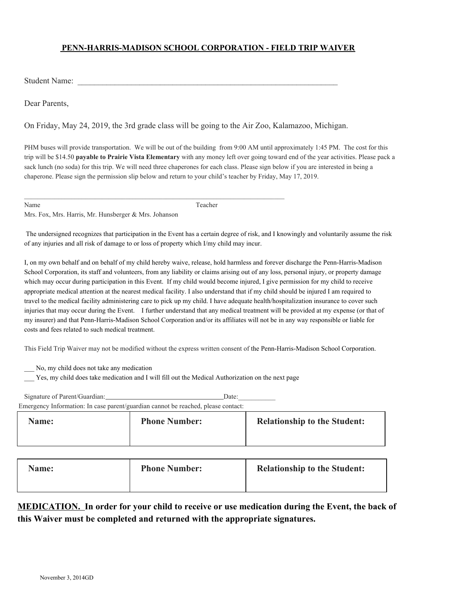## **PENN-HARRIS-MADISON SCHOOL CORPORATION - FIELD TRIP WAIVER**

Student Name:

Dear Parents,

On Friday, May 24, 2019, the 3rd grade class will be going to the Air Zoo, Kalamazoo, Michigan.

PHM buses will provide transportation. We will be out of the building from 9:00 AM until approximately 1:45 PM. The cost for this trip will be \$14.50 **payable to Prairie Vista Elementary** with any money left over going toward end of the year activities. Please pack a sack lunch (no soda) for this trip. We will need three chaperones for each class. Please sign below if you are interested in being a chaperone. Please sign the permission slip below and return to your child's teacher by Friday, May 17, 2019.

|--|--|

Name Teacher

Mrs. Fox, Mrs. Harris, Mr. Hunsberger & Mrs. Johanson

 The undersigned recognizes that participation in the Event has a certain degree of risk, and I knowingly and voluntarily assume the risk of any injuries and all risk of damage to or loss of property which I/my child may incur.

I, on my own behalf and on behalf of my child hereby waive, release, hold harmless and forever discharge the Penn-Harris-Madison School Corporation, its staff and volunteers, from any liability or claims arising out of any loss, personal injury, or property damage which may occur during participation in this Event. If my child would become injured, I give permission for my child to receive appropriate medical attention at the nearest medical facility. I also understand that if my child should be injured I am required to travel to the medical facility administering care to pick up my child. I have adequate health/hospitalization insurance to cover such injuries that may occur during the Event. I further understand that any medical treatment will be provided at my expense (or that of my insurer) and that Penn-Harris-Madison School Corporation and/or its affiliates will not be in any way responsible or liable for costs and fees related to such medical treatment.

This Field Trip Waiver may not be modified without the express written consent of the Penn-Harris-Madison School Corporation.

\_\_\_ No, my child does not take any medication

Yes, my child does take medication and I will fill out the Medical Authorization on the next page

| Name:                         | <b>Phone Number:</b>                                                              | <b>Relationship to the Student:</b> |
|-------------------------------|-----------------------------------------------------------------------------------|-------------------------------------|
|                               | Emergency Information: In case parent/guardian cannot be reached, please contact: |                                     |
| Signature of Parent/Guardian: | Date:                                                                             |                                     |

| <b>Relationship to the Student:</b><br><b>Phone Number:</b><br><b>Name:</b> |
|-----------------------------------------------------------------------------|
|-----------------------------------------------------------------------------|

## **MEDICATION. In order for your child to receive or use medication during the Event, the back of this Waiver must be completed and returned with the appropriate signatures.**